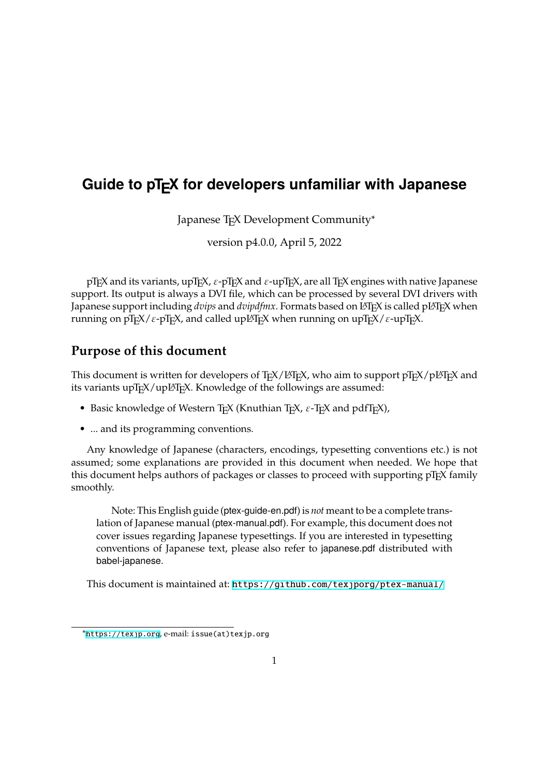# Guide to pTEX for developers unfamiliar with Japanese

Japanese T<sub>F</sub>X Development Community\*

version p4.0.0, April 5, 2022

pT<sub>E</sub>X and its variants, upT<sub>E</sub>X,  $\varepsilon$ -pT<sub>E</sub>X and  $\varepsilon$ -upT<sub>E</sub>X, are all T<sub>E</sub>X engines with native Japanese support. Its output is always a DVI file, which can be processed by several DVI drivers with Japanese support including *dvips* and *dvipdfmx*. Formats based on L<sup>A</sup>TEX is called pLATEX when running on pTEX/ $\varepsilon$ -pTEX, and called upLATEX when running on upTEX/ $\varepsilon$ -upTEX.

### **Purpose of this document**

This document is written for developers of TEX/LATEX, who aim to support pTEX/pLATEX and its variants upT<sub>F</sub>X/upL<sub>TF</sub>X. Knowledge of the followings are assumed:

- Basic knowledge of Western T<sub>E</sub>X (Knuthian T<sub>E</sub>X,  $\varepsilon$ -T<sub>E</sub>X and pdfT<sub>E</sub>X),
- ... and its programming conventions.

Any knowledge of Japanese (characters, encodings, typesetting conventions etc.) is not assumed; some explanations are provided in this document when needed. We hope that this document helps authors of packages or classes to proceed with supporting pT<sub>E</sub>X family smoothly.

Note: This English guide (ptex-guide-en.pdf) is *not* meant to be a complete translation of Japanese manual (ptex-manual.pdf). For example, this document does not cover issues regarding Japanese typesettings. If you are interested in typesetting conventions of Japanese text, please also refer to japanese.pdf distributed with babel-japanese.

This document is maintained at: https://github.com/texjporg/ptex-manual/

<sup>\*</sup>https://texjp.org, e-mail: issue(at)[texjp.org](https://github.com/texjporg/ptex-manual/)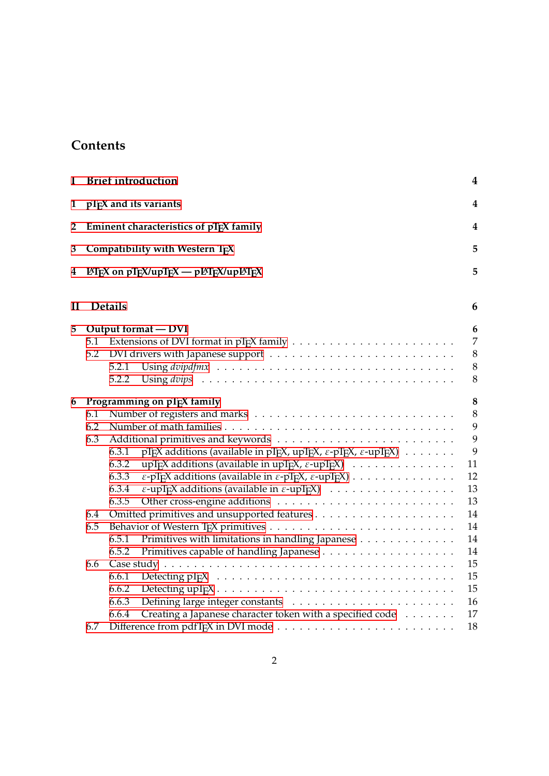## **Contents**

| I              |                   | <b>Brief introduction</b>                                                                                                                                                                                                                                                                                                                                                                                                                                                                | $\boldsymbol{4}$                                          |
|----------------|-------------------|------------------------------------------------------------------------------------------------------------------------------------------------------------------------------------------------------------------------------------------------------------------------------------------------------------------------------------------------------------------------------------------------------------------------------------------------------------------------------------------|-----------------------------------------------------------|
| 1              |                   | pTEX and its variants                                                                                                                                                                                                                                                                                                                                                                                                                                                                    | 4                                                         |
| $\overline{2}$ |                   | Eminent characteristics of pTEX family                                                                                                                                                                                                                                                                                                                                                                                                                                                   | 4                                                         |
| 3              |                   | Compatibility with Western TFX                                                                                                                                                                                                                                                                                                                                                                                                                                                           | 5                                                         |
| 4              |                   | $\text{ETr}X$ on $p\text{Tr}X/\text{upTr}X \rightarrow p\text{ETr}X/\text{upTr}X$                                                                                                                                                                                                                                                                                                                                                                                                        | 5                                                         |
| $\mathbf{I}$   |                   | <b>Details</b>                                                                                                                                                                                                                                                                                                                                                                                                                                                                           | 6                                                         |
| 5              | 5.1<br>5.2        | Output format - DVI<br>5.2.1<br>5.2.2                                                                                                                                                                                                                                                                                                                                                                                                                                                    | 6<br>7<br>8<br>$\,8\,$<br>$\,8\,$                         |
| 6              | 6.1<br>6.2<br>6.3 | Programming on pTEX family<br>pTFX additions (available in pTFX, upTFX, $\varepsilon$ -pTFX, $\varepsilon$ -upTFX)<br>6.3.1<br>upT <sub>F</sub> X additions (available in upT <sub>E</sub> X, ε-upT <sub>E</sub> X)<br>6.3.2<br>6.3.3<br>$\varepsilon$ -pT <sub>E</sub> X additions (available in $\varepsilon$ -pT <sub>E</sub> X, $\varepsilon$ -upT <sub>E</sub> X)<br>6.3.4<br>$\varepsilon$ -upT <sub>F</sub> X additions (available in $\varepsilon$ -upT <sub>E</sub> X)<br>6.3.5 | $\bf 8$<br>$\,8\,$<br>9<br>9<br>9<br>11<br>12<br>13<br>13 |
|                | 6.4<br>6.5        | Primitives with limitations in handling Japanese<br>6.5.1<br>6.5.2                                                                                                                                                                                                                                                                                                                                                                                                                       | 14<br>14<br>14<br>14                                      |
|                | 6.6<br>6.7        | 6.6.1<br>6.6.2<br>6.6.3<br>Creating a Japanese character token with a specified code<br>6.6.4                                                                                                                                                                                                                                                                                                                                                                                            | 15<br>15<br>15<br>16<br>17<br>18                          |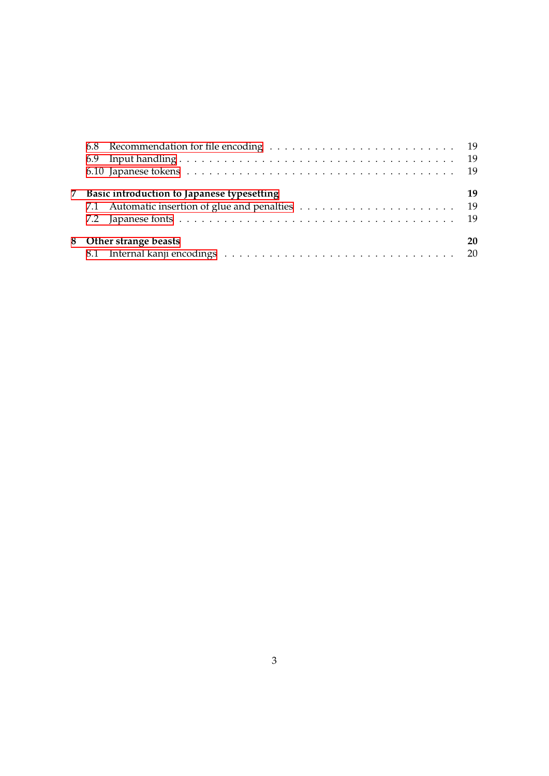| 7 Basic introduction to Japanese typesetting | 19 |
|----------------------------------------------|----|
|                                              |    |
|                                              |    |
| 8 Other strange beasts                       | 20 |
|                                              |    |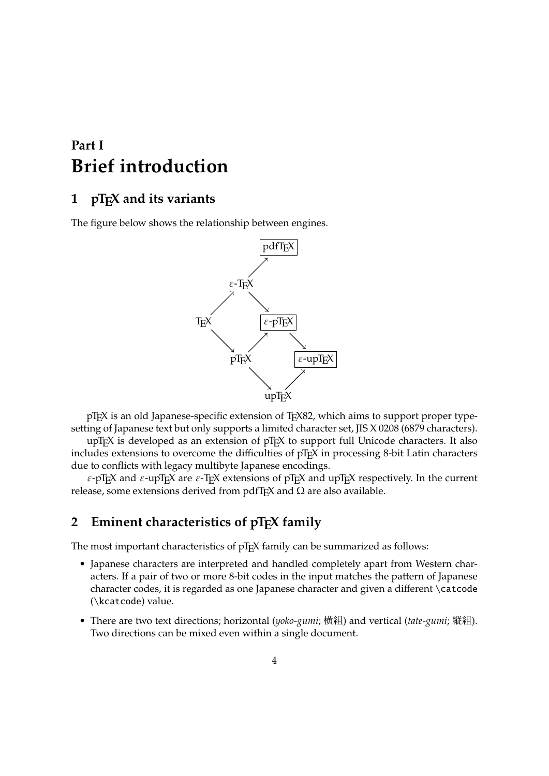# <span id="page-3-0"></span>**Part I Brief introduction**

### <span id="page-3-1"></span>1 pT<sub>F</sub>X and its variants

The figure below shows the relationship between engines.



pTEX is an old Japanese-specific extension of TEX82, which aims to support proper typesetting of Japanese text but only supports a limited character set, JIS X 0208 (6879 characters).

upT<sub>E</sub>X is developed as an extension of pT<sub>E</sub>X to support full Unicode characters. It also includes extensions to overcome the difficulties of pT<sub>F</sub>X in processing 8-bit Latin characters due to conflicts with legacy multibyte Japanese encodings.

 $\varepsilon$ -pT<sub>E</sub>X and  $\varepsilon$ -upT<sub>E</sub>X are  $\varepsilon$ -T<sub>E</sub>X extensions of pT<sub>E</sub>X and upT<sub>E</sub>X respectively. In the current release, some extensions derived from pdfT<sub>E</sub>X and  $\Omega$  are also available.

### <span id="page-3-2"></span>**2** Eminent characteristics of pT<sub>F</sub>X family

The most important characteristics of pT<sub>E</sub>X family can be summarized as follows:

- Japanese characters are interpreted and handled completely apart from Western characters. If a pair of two or more 8-bit codes in the input matches the pattern of Japanese character codes, it is regarded as one Japanese character and given a different \catcode (\kcatcode) value.
- There are two text directions; horizontal (*yoko-gumi*; 横組) and vertical (*tate-gumi*; 縦組). Two directions can be mixed even within a single document.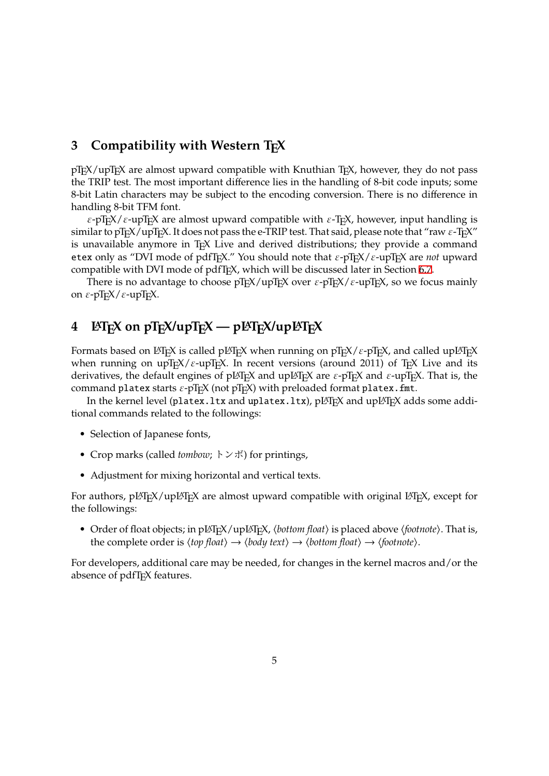### **3 Compatibility with Western TEX**

 $pT<sub>F</sub>X$ /upT<sub>E</sub>X are almost upward compatible with Knuthian T<sub>E</sub>X, however, they do not pass the TRIP test. The most important difference lies in the handling of 8-bit code inputs; some 8-bit Latin characters may be subject to the encoding conversion. There is no difference in handling 8-bit TFM font.

 $\varepsilon$ -pT<sub>E</sub>X/ $\varepsilon$ -upT<sub>E</sub>X are almost upward compatible with  $\varepsilon$ -T<sub>E</sub>X, however, input handling is similar to pT<sub>E</sub>X/upT<sub>E</sub>X. It does not pass the e-TRIP test. That said, please note that "raw  $\varepsilon$ -T<sub>E</sub>X" is unavailable anymore in TEX Live and derived distributions; they provide a command etex only as "DVI mode of pdfT<sub>E</sub>X." You should note that  $\varepsilon$ -pT<sub>E</sub>X/ $\varepsilon$ -upT<sub>E</sub>X are *not* upward compatible with DVI mode of pdfT<sub>E</sub>X, which will be discussed later in Section 6.7.

There is no advantage to choose  $pT_FX / upT_FX$  over  $\varepsilon$ - $pT_FX / \varepsilon$ -upT $FX$ , so we focus mainly on  $\epsilon$ -pT<sub>E</sub>X/ $\epsilon$ -upT<sub>E</sub>X.

### $4$  LA<sub>TE</sub>X on pT<sub>E</sub>X/upT<sub>E</sub>X — pLAT<sub>E</sub>X/upLAT<sub>E</sub>X

Formats based on LATEX is called pLATEX when running on  $pTEX/\varepsilon$ -pTEX, and called upLATEX when running on upTEX/ $\varepsilon$ -upTEX. In recent versions (around 2011) of TEX Live and its derivatives, the default engines of pLATEX and upLATEX are  $\varepsilon$ -pTEX and  $\varepsilon$ -upTEX. That is, the command platex starts  $\varepsilon$ -pT<sub>E</sub>X (not pT<sub>E</sub>X) with preloaded format platex.fmt.

In the kernel level (platex.ltx and uplatex.ltx),  $pE\phi$  and up $E\phi$  adds some additional commands related to the followings:

- Selection of Japanese fonts,
- Crop marks (called *tombow*; トンボ) for printings,
- Adjustment for mixing horizontal and vertical texts.

For authors, pLATEX/upLATEX are almost upward compatible with original LATEX, except for the followings:

• Order of float objects; in pLATEX/upLATEX, ⟨*bottom float*⟩ is placed above ⟨*footnote*⟩. That is, the complete order is ⟨*top float*⟩ → ⟨*body text*⟩ → ⟨*bottom float*⟩ → ⟨*footnote*⟩.

For developers, additional care may be needed, for changes in the kernel macros and/or the absence of pdfT<sub>E</sub>X features.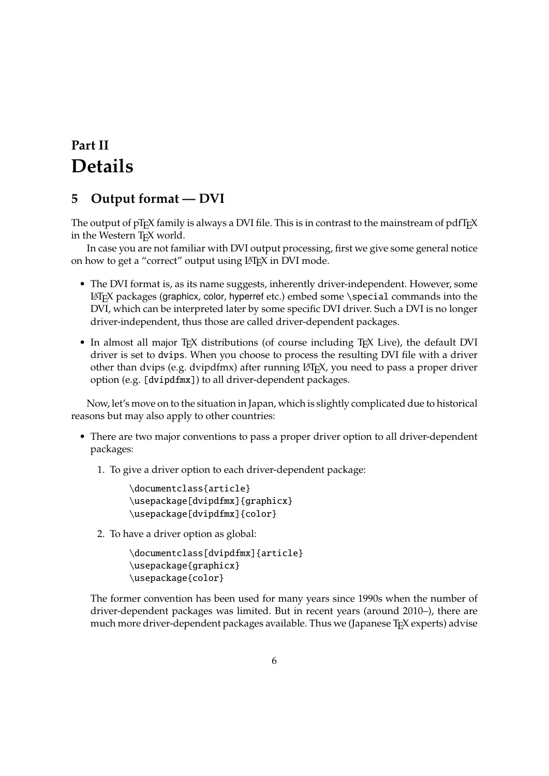# <span id="page-5-0"></span>**Part II Details**

### <span id="page-5-1"></span>**5 Output format — DVI**

The output of pTEX family is always a DVI file. This is in contrast to the mainstream of pdfTFX in the Western T<sub>F</sub>X world.

In case you are not familiar with DVI output processing, first we give some general notice on how to get a "correct" output using LATEX in DVI mode.

- The DVI format is, as its name suggests, inherently driver-independent. However, some LATEX packages (graphicx, color, hyperref etc.) embed some \special commands into the DVI, which can be interpreted later by some specific DVI driver. Such a DVI is no longer driver-independent, thus those are called driver-dependent packages.
- In almost all major T<sub>EX</sub> distributions (of course including T<sub>EX</sub> Live), the default DVI driver is set to dvips. When you choose to process the resulting DVI file with a driver other than dvips (e.g. dvipdfmx) after running LATEX, you need to pass a proper driver option (e.g.[dvipdfmx]) to all driver-dependent packages.

Now, let's move on to the situation in Japan, which is slightly complicated due to historical reasons but may also apply to other countries:

- There are two major conventions to pass a proper driver option to all driver-dependent packages:
	- 1. To give a driver option to each driver-dependent package:

```
\documentclass{article}
\usepackage[dvipdfmx]{graphicx}
\usepackage[dvipdfmx]{color}
```
2. To have a driver option as global:

```
\documentclass[dvipdfmx]{article}
\usepackage{graphicx}
\usepackage{color}
```
The former convention has been used for many years since 1990s when the number of driver-dependent packages was limited. But in recent years (around 2010–), there are much more driver-dependent packages available. Thus we (Japanese T<sub>E</sub>X experts) advise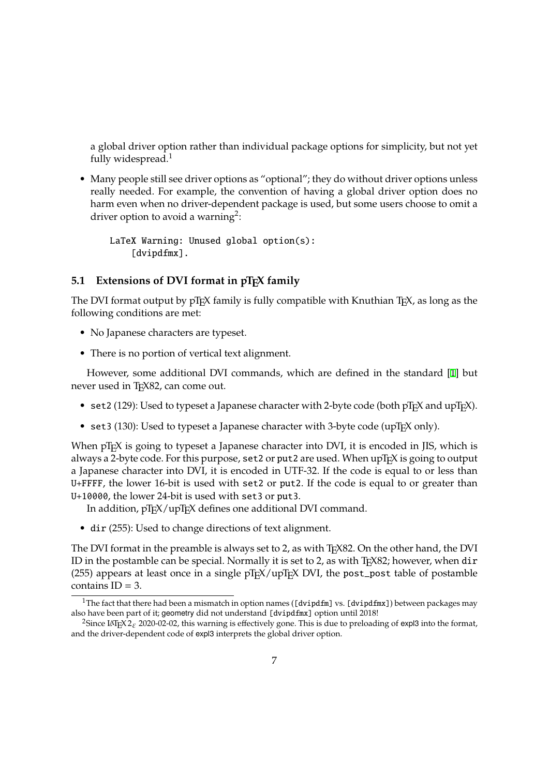a global driver option rather than individual package options for simplicity, but not yet fully widespread. $<sup>1</sup>$ </sup>

• Many people still see driver options as "optional"; they do without driver options unless really needed. For example, the convention of having a global driver option does no harm even when no driver-dependent package is used, but some users choose to omit a driver option to avoid a warning<sup>2</sup>:

LaTeX Warning: Unused global option(s): [dvipdfmx].

#### **5.1 Extensions of DVI format in pT<sub>F</sub>X family**

The DVI format output by pT<sub>E</sub>X family is fully compatible with Knuthian T<sub>F</sub>X, as long as the following conditions are met:

- <span id="page-6-0"></span>• No Japanese characters are typeset.
- There is no portion of vertical text alignment.

However, some additional DVI commands, which are defined in the standard [1] but never used in T<sub>F</sub>X82, can come out.

- set2 (129): Used to typeset a Japanese character with 2-byte code (both  $pT_FX$  and  $upT_FX$ ).
- set3 (130): Used to typeset a Japanese character with 3-byte code (upTEX only).

When pT<sub>F</sub>X is going to typeset a Japanese character into DVI, it is encoded in JIS, which is always a 2-byte code. For this purpose,  $set2$  or put 2 are used. When upT<sub>E</sub>X is going to output a Japanese character into DVI, it is encoded in UTF-32. If the code is equal to or less than U+FFFF, the lower 16-bit is used with set2 or put2. If the code is equal to or greater than U+10000, the lower 24-bit is used with set3 or put3.

In addition, pT<sub>F</sub>X/upT<sub>F</sub>X defines one additional DVI command.

• dir (255): Used to change directions of text alignment.

The DVI format in the preamble is always set to 2, as with T<sub>E</sub>X82. On the other hand, the DVI ID in the postamble can be special. Normally it is set to 2, as with  $T<sub>F</sub>X82$ ; however, when dir (255) appears at least once in a single  $pT<sub>F</sub>X / upT<sub>F</sub>X$  DVI, the post\_post table of postamble contains  $ID = 3$ .

<sup>&</sup>lt;sup>1</sup>The fact that there had been a mismatch in option names ([dvipdfm] vs. [dvipdfmx]) between packages may also have been part of it; geometry did not understand [dvipdfmx] option until 2018!

<sup>&</sup>lt;sup>2</sup>Since LAT<sub>E</sub>X 2<sub> $\epsilon$ </sub> 2020-02-02, this warning is effectively gone. This is due to preloading of expl3 into the format, and the driver-dependent code of expl3 interprets the global driver option.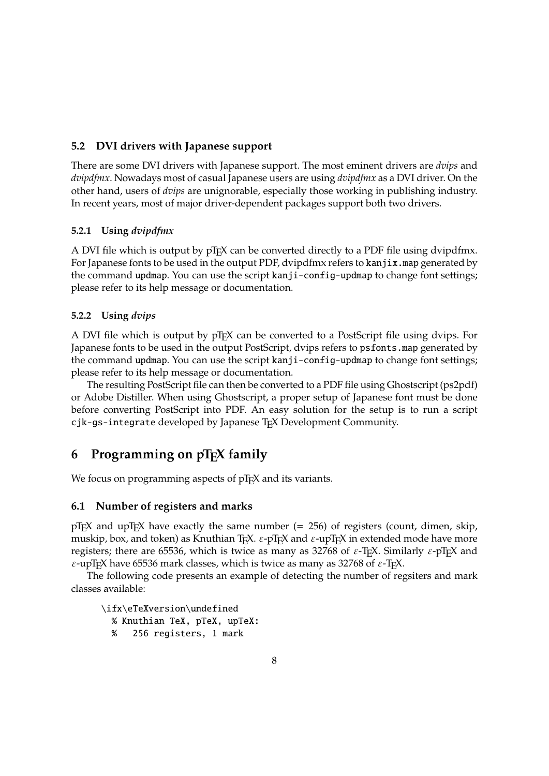#### <span id="page-7-0"></span>**5.2 DVI drivers with Japanese support**

There are some DVI drivers with Japanese support. The most eminent drivers are *dvips* and *dvipdfmx*. Nowadays most of casual Japanese users are using *dvipdfmx* as a DVI driver. On the other hand, users of *dvips* are unignorable, especially those working in publishing industry. In recent years, most of major driver-dependent packages support both two drivers.

#### <span id="page-7-1"></span>**5.2.1 Using** *dvipdfmx*

A DVI file which is output by pT<sub>E</sub>X can be converted directly to a PDF file using dvipdfmx. For Japanese fonts to be used in the output PDF, dvipdfmx refers to kanjix.map generated by the command updmap. You can use the script kanji-config-updmap to change font settings; please refer to its help message or documentation.

#### <span id="page-7-2"></span>**5.2.2 Using** *dvips*

A DVI file which is output by pTEX can be converted to a PostScript file using dvips. For Japanese fonts to be used in the output PostScript, dvips refers to psfonts.map generated by the command updmap. You can use the script kanji-config-updmap to change font settings; please refer to its help message or documentation.

The resulting PostScript file can then be converted to a PDF file using Ghostscript (ps2pdf) or Adobe Distiller. When using Ghostscript, a proper setup of Japanese font must be done before converting PostScript into PDF. An easy solution for the setup is to run a script cjk-gs-integrate developed by Japanese TEX Development Community.

### <span id="page-7-3"></span>**6 Programming on pTEX family**

We focus on programming aspects of pT<sub>F</sub>X and its variants.

#### <span id="page-7-4"></span>**6.1 Number of registers and marks**

 $pT_FX$  and upT $F_XX$  have exactly the same number (= 256) of registers (count, dimen, skip, muskip, box, and token) as Knuthian T<sub>E</sub>X.  $\varepsilon$ -pT<sub>E</sub>X and  $\varepsilon$ -upT<sub>E</sub>X in extended mode have more registers; there are 65536, which is twice as many as 32768 of  $\varepsilon$ -T<sub>E</sub>X. Similarly  $\varepsilon$ -pT<sub>E</sub>X and  $\varepsilon$ -upT<sub>E</sub>X have 65536 mark classes, which is twice as many as 32768 of  $\varepsilon$ -T<sub>E</sub>X.

The following code presents an example of detecting the number of regsiters and mark classes available:

\ifx\eTeXversion\undefined % Knuthian TeX, pTeX, upTeX: % 256 registers, 1 mark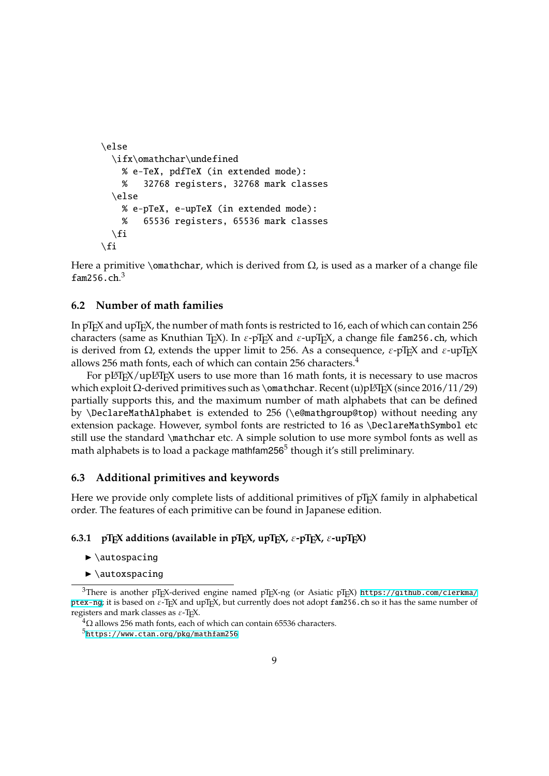```
\else
 \ifx\omathchar\undefined
   % e-TeX, pdfTeX (in extended mode):
    % 32768 registers, 32768 mark classes
  \else
    % e-pTeX, e-upTeX (in extended mode):
   % 65536 registers, 65536 mark classes
  \setminusfi
\fi
```
Here a primitive \omathchar, which is derived from  $\Omega$ , is used as a marker of a change file fam256.ch.<sup>3</sup>

#### **6.2 Number of math families**

<span id="page-8-0"></span>In  $pTr[X]$  and upT<sub>E</sub>X, the number of math fonts is restricted to 16, each of which can contain 256 characters (same as Knuthian TEX). In  $\varepsilon$ -pTEX and  $\varepsilon$ -upTEX, a change file fam256.ch, which is derived from  $\Omega$ , extends the upper limit to 256. As a consequence,  $\varepsilon$ -pT<sub>E</sub>X and  $\varepsilon$ -upT<sub>E</sub>X allows 256 math fonts, each of which can contain 256 characters. $4$ 

For pLAT<sub>E</sub>X/upLAT<sub>E</sub>X users to use more than 16 math fonts, it is necessary to use macros which exploit  $Ω$ -derived primitives such as \omathchar. Recent (u)pL $T$ F $X$  (since 2016/11/29) partially supports this, and the maximum number of math alphabets that can be defined by\DeclareMathAlphabet is extended to 256 (\e@mathgroup@top) without needing any extension package. However, symbol fonts are restricted to 16 as \DeclareMathSymbol etc still use the standard \mathchar etc. A simple solution to use more symbol fonts as well as math alphabets is to load a package mathfam256 $^5$  though it's still preliminary.

#### **6.3 Additional primitives and keywords**

Here we provide only complete lists of additional primitives of  $pTr[X]$  family in alphabetical order. The features of each primitive can be found in Japanese edition.

#### <span id="page-8-1"></span>**6.3.1** pT<sub>E</sub>X additions (available in pT<sub>E</sub>X, upT<sub>E</sub>X,  $\varepsilon$ -pT<sub>E</sub>X,  $\varepsilon$ -upT<sub>E</sub>X)

- $\blacktriangleright$  \autospacing
- $\blacktriangleright$  \autoxspacing

<span id="page-8-2"></span><sup>&</sup>lt;sup>3</sup>There is another pTEX-derived engine named pTEX-ng (or Asiatic pTEX) https://github.com/clerkma/ ptex-ng; it is based on  $\varepsilon$ -T<sub>F</sub>X and upT<sub>F</sub>X, but currently does not adopt fam256.ch so it has the same number of registers and mark classes as  $\varepsilon$ -T<sub>E</sub>X.

 ${}^{4}\Omega$  allows 256 math fonts, each of which can contain 65536 characters.

 $5$ https://www.ctan.org/pkg/mathfam256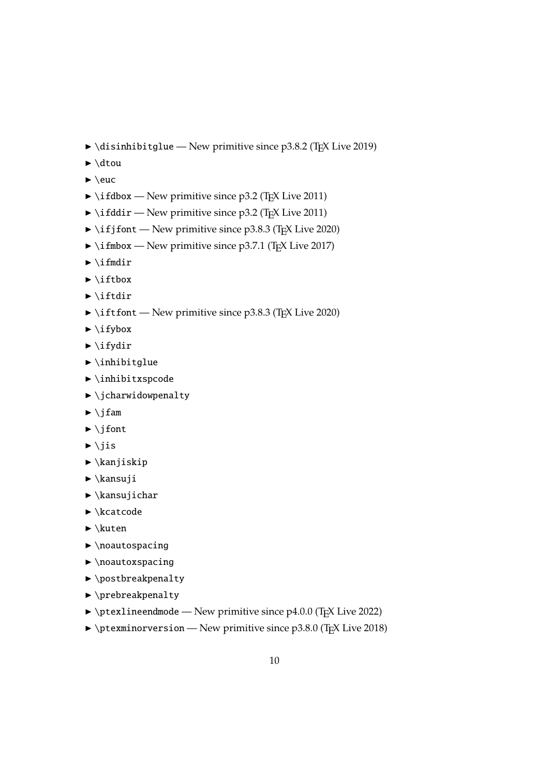- <span id="page-9-0"></span> $\rightarrow$  \disinhibitglue — New primitive since p3.8.2 (T<sub>E</sub>X Live 2019)
- $\blacktriangleright$  \dtou
- $\blacktriangleright$  \euc
- $\rightarrow$  \ifdbox New primitive since p3.2 (T<sub>E</sub>X Live 2011)
- $\rightarrow$  \ifddir New primitive since p3.2 (T<sub>E</sub>X Live 2011)
- $\rightarrow$  \ifjfont New primitive since p3.8.3 (T<sub>F</sub>X Live 2020)
- $\blacktriangleright$  \ifmbox New primitive since p3.7.1 (T<sub>E</sub>X Live 2017)
- $\blacktriangleright$  \ifmdir
- $\blacktriangleright$  \iftbox
- $\blacktriangleright$  \iftdir
- $\rightarrow$  \iftfont New primitive since p3.8.3 (T<sub>F</sub>X Live 2020)
- $\blacktriangleright$  \ifybox
- $\blacktriangleright$  \ifydir
- $\blacktriangleright$  \inhibitglue
- $\blacktriangleright$  \inhibitxspcode
- $\blacktriangleright$  \jcharwidowpenalty
- $\blacktriangleright$  \jfam
- $\blacktriangleright$  \jfont
- $\blacktriangleright$  \jis
- $\blacktriangleright$  \kanjiskip
- $\blacktriangleright$  \kansuji
- $\blacktriangleright$  \kansujichar
- $\blacktriangleright \kappa$ catcode
- $\blacktriangleright \text{kuten}$
- $\blacktriangleright$  \noautospacing
- $\blacktriangleright$  \noautoxspacing
- ▶ \postbreakpenalty
- $\blacktriangleright$  \prebreakpenalty
- $\rightarrow$  \ptexlineendmode New primitive since p4.0.0 (T<sub>E</sub>X Live 2022)
- $\rightarrow$  \ptexminorversion New primitive since p3.8.0 (TEX Live 2018)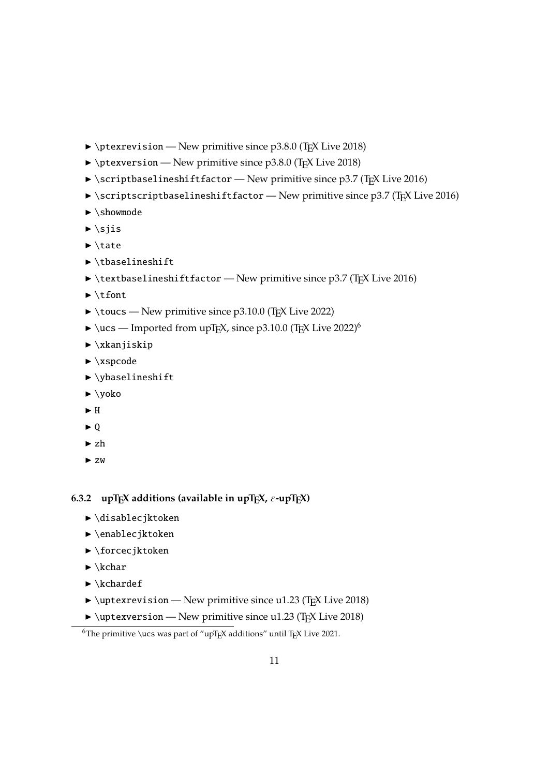- <span id="page-10-1"></span> $\rightarrow$  \ptexrevision — New primitive since p3.8.0 (T<sub>E</sub>X Live 2018)
- $\rightarrow$  \ptexversion New primitive since p3.8.0 (TEX Live 2018)
- $\triangleright$  \scriptbaselineshiftfactor New primitive since p3.7 (T<sub>E</sub>X Live 2016)
- $\triangleright$  \scriptscriptbaselineshiftfactor New primitive since p3.7 (T<sub>E</sub>X Live 2016)
- $\blacktriangleright$  \showmode
- $\blacktriangleright$  \sjis
- $\blacktriangleright$  \tate
- $\blacktriangleright$  \tbaselineshift
- $\rightarrow$  \textbaselineshiftfactor New primitive since p3.7 (TEX Live 2016)
- $\blacktriangleright$  \tfont
- $\rightarrow$  \toucs New primitive since p3.10.0 (T<sub>F</sub>X Live 2022)
- $\blacktriangleright$  \ucs Imported from upT<sub>E</sub>X, since p3.10.0 (T<sub>E</sub>X Live 2022)<sup>6</sup>
- $\blacktriangleright$  \xkanjiskip
- $\blacktriangleright$  \xspcode
- $\blacktriangleright$  \ybaselineshift
- $\blacktriangleright$  \yoko
- $\blacktriangleright$  H
- ▶ Q
- $\blacktriangleright$ zh
- $\blacktriangleright$  zw

#### <span id="page-10-0"></span>**6.3.2** upT<sub>E</sub>X additions (available in upT<sub>E</sub>X,  $\varepsilon$ -upT<sub>E</sub>X)

- ▶ \disablecjktoken
- ▶ \enablecjktoken
- $\blacktriangleright$  \forcecjktoken
- $\blacktriangleright \kappa$ char
- $\blacktriangleright \kappa$ chardef
- $\rightarrow$  \uptexrevision New primitive since u1.23 (T<sub>E</sub>X Live 2018)
- $\rightarrow$  \uptexversion New primitive since u1.23 (T<sub>E</sub>X Live 2018)

<sup>&</sup>lt;sup>6</sup>The primitive \ucs was part of "upT<sub>E</sub>X additions" until T<sub>E</sub>X Live 2021.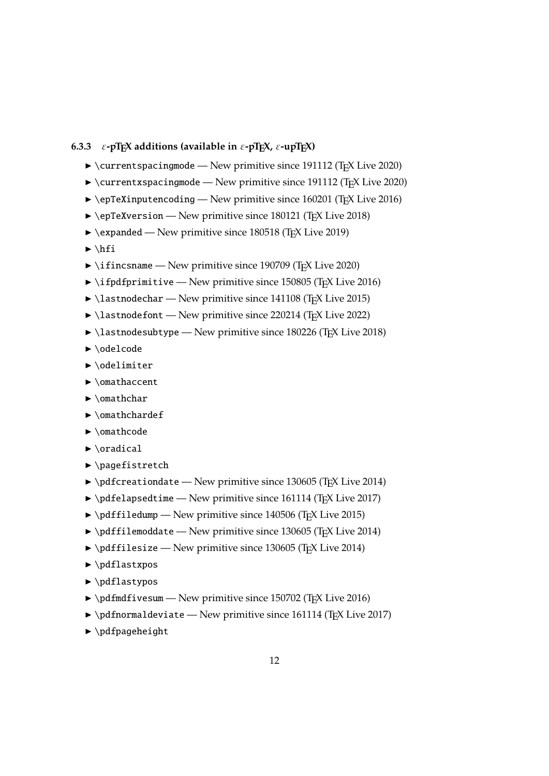#### <span id="page-11-1"></span><span id="page-11-0"></span>**6.3.3**  $\varepsilon$ -pT<sub>E</sub>X additions (available in  $\varepsilon$ -pT<sub>E</sub>X,  $\varepsilon$ -upT<sub>E</sub>X)

- $\rightarrow$  \currentspacingmode New primitive since 191112 (T<sub>E</sub>X Live 2020)
- $\rightarrow$  \currentxspacing mode New primitive since 191112 (T<sub>E</sub>X Live 2020)
- $\rightarrow$  \epTeXinputencoding New primitive since 160201 (TEX Live 2016)
- $\rightarrow$  \epTeXversion New primitive since 180121 (TEX Live 2018)
- $\blacktriangleright$  \expanded New primitive since 180518 (T<sub>E</sub>X Live 2019)
- $\blacktriangleright$  \hfi
- $\rightarrow$  \ifincsname New primitive since 190709 (T<sub>E</sub>X Live 2020)
- $\rightarrow$  \ifpdfprimitive New primitive since 150805 (TEX Live 2016)
- $\blacktriangleright$  \lastnodechar New primitive since 141108 (T<sub>E</sub>X Live 2015)
- $\blacktriangleright$  \lastnodefont New primitive since 220214 (T<sub>E</sub>X Live 2022)
- $\blacktriangleright$  \lastnodesubtype New primitive since 180226 (T<sub>E</sub>X Live 2018)
- ▶ \odelcode
- ▶ \odelimiter
- ▶ \omathaccent
- $\blacktriangleright$  \omathchar
- ▶ \omathchardef
- ▶ **\omathcode**
- $\blacktriangleright$  \oradical
- $\blacktriangleright$  \pagefistretch
- $\rightarrow \pdfcreationdate New primitive since 130605 (TrX Live 2014)$
- $\rightarrow \pmb{\text{def}}$  \pdfelapsedtime New primitive since 161114 (TEX Live 2017)
- $\rightarrow \pdffiledump New primitive since 140506 (TrX Live 2015)$
- $\rightarrow \pdffilename$   $\rightarrow$  New primitive since 130605 (TEX Live 2014)
- $\rightarrow \pdffilesize$  New primitive since 130605 (T<sub>E</sub>X Live 2014)
- $\blacktriangleright$  \pdflastxpos
- $\blacktriangleright$  \pdflastypos
- $\rightarrow \pdfmdfivesum New primitive since 150702 (TrX Live 2016)$
- $\rightarrow$  \pdfnormaldeviate New primitive since 161114 (TEX Live 2017)
- $\blacktriangleright$  \pdfpageheight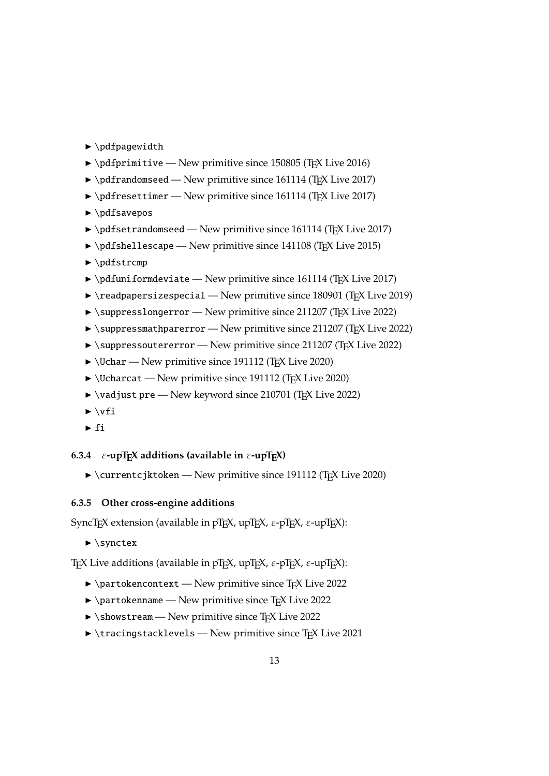- <span id="page-12-2"></span> $\blacktriangleright$  \pdfpagewidth
- $\rightarrow \qquad \qquad \blacktriangleright$  \pdfprimitive New primitive since 150805 (TEX Live 2016)
- $\rightarrow \pdf$ randomseed New primitive since 161114 (TEX Live 2017)
- $\rightarrow \pdfresettimer$  New primitive since 161114 (TEX Live 2017)
- $\blacktriangleright$  \pdfsavepos
- $\rightarrow$  \pdfsetrandomseed New primitive since 161114 (TEX Live 2017)
- $\rightarrow \pmb{\text{def}}$  \pdfshellescape New primitive since 141108 (TEX Live 2015)
- $\blacktriangleright$  \pdfstrcmp
- $\rightarrow$  \pdfuniformdeviate New primitive since 161114 (TEX Live 2017)
- $\rightarrow$  \readpapersizespecial New primitive since 180901 (TEX Live 2019)
- $\rightarrow$  \suppresslongerror New primitive since 211207 (T<sub>E</sub>X Live 2022)
- $\rightarrow$  \suppressmathparerror New primitive since 211207 (T<sub>E</sub>X Live 2022)
- ▶ \suppressoutererror New primitive since 211207 (TEX Live 2022)
- $\triangleright$  \Uchar New primitive since 191112 (T<sub>F</sub>X Live 2020)
- $\rightarrow$  \Ucharcat New primitive since 191112 (T<sub>F</sub>X Live 2020)
- ▶ \vadjust pre New keyword since 210701 (TEX Live 2022)
- $\blacktriangleright$  \vfi
- $\blacktriangleright$ fi

#### <span id="page-12-0"></span>**6.3.4**  $\varepsilon$ -upT<sub>E</sub>X additions (available in  $\varepsilon$ -upT<sub>E</sub>X)

 $\blacktriangleright$  \currentcjktoken — New primitive since 191112 (TEX Live 2020)

#### <span id="page-12-1"></span>**6.3.5 Other cross-engine additions**

SyncTEX extension (available in pTEX, upTEX,  $\varepsilon$ -pTEX,  $\varepsilon$ -upTEX):

 $\blacktriangleright$  \synctex

TEX Live additions (available in pTEX, upTEX,  $\varepsilon$ -pTEX,  $\varepsilon$ -upTEX):

- $\rightarrow$  \partokencontext New primitive since T<sub>E</sub>X Live 2022
- $\rightarrow$  \partokenname New primitive since TEX Live 2022
- $\blacktriangleright \simeq$   $\text{New primitive since } \text{Tr}X \text{ Live 2022}$
- $\triangleright$  \tracingstacklevels New primitive since T<sub>E</sub>X Live 2021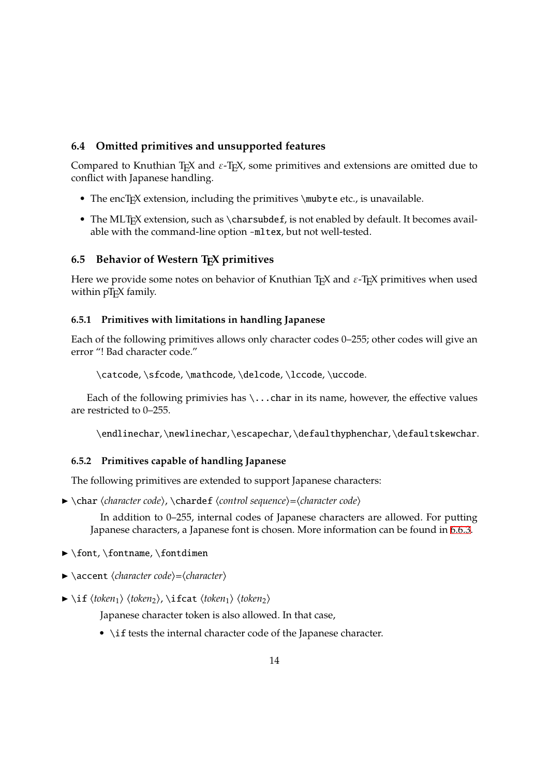#### <span id="page-13-4"></span>**6.4 Omitted primitives and unsupported features**

Compared to Knuthian T<sub>E</sub>X and  $\varepsilon$ -T<sub>E</sub>X, some primitives and extensions are omitted due to conflict with Japanese handling.

- <span id="page-13-0"></span>• The encT<sub>E</sub>X extension, including the primitives \mubyte etc., is unavailable.
- The MLT<sub>E</sub>X extension, such as \charsubdef, is not enabled by default. It becomes available with the command-line option-mltex, but not well-tested.

#### **6.5 Behavior of Western TEX primitives**

Here we provide some notes on behavior of Knuthian T<sub>E</sub>X and  $\varepsilon$ -T<sub>E</sub>X primitives when used within pT<sub>E</sub>X family.

#### <span id="page-13-1"></span>**6.5.1 Primitives with limitations in handling Japanese**

<span id="page-13-2"></span>Each of the following primitives allows only character codes 0–255; other codes will give an error "! Bad character code."

\catcode,\sfcode,\mathcode,\delcode,\lccode,\uccode.

Each of the following primivies has  $\ldots$  char in its name, however, the effective values are restricted to 0–255.

\endlinechar,\newlinechar,\escapechar,\defaulthyphenchar,\defaultskewchar.

#### **6.5.2 Primitives capable of handling Japanese**

The following primitives are extended to support Japanese characters:

<span id="page-13-3"></span>▶ \char ⟨*character code*⟩, \chardef ⟨*control sequence*⟩=⟨*character code*⟩

In addition to 0–255, internal codes of Japanese characters are allowed. For putting Japanese characters, a Japanese font is chosen. More information can be found in 6.6.3.

- ▶ \font, \fontname, \fontdimen
- ▶ \accent ⟨*character code*⟩=⟨*character*⟩
- ▶ \if ⟨*token*1⟩ ⟨*token*2⟩, \ifcat ⟨*token*1⟩ ⟨*token*2⟩

Japanese character token is also allowed. In that case,

• \if tests the internal character code of the Japanese character.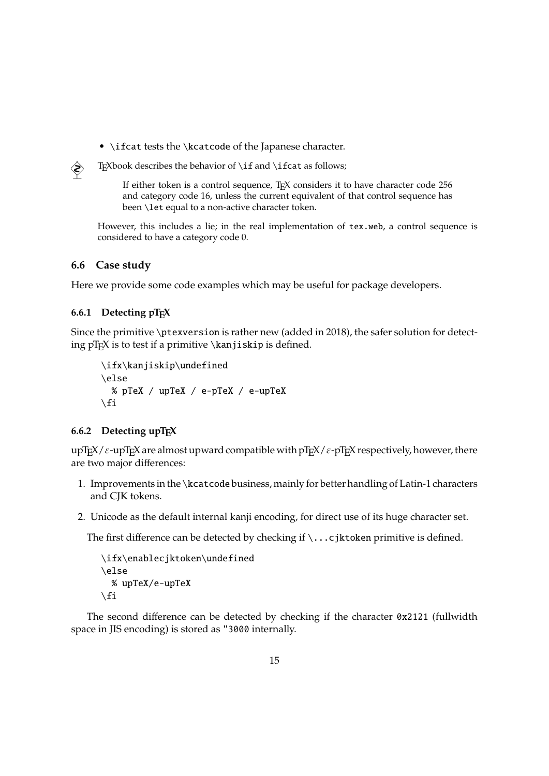- \ifcat tests the \kcatcode of the Japanese character.
- $\diamondsuit$  T<sub>E</sub>Xbook describes the behavior of \if and \ifcat as follows;

If either token is a control sequence, T<sub>E</sub>X considers it to have character code 256 and category code 16, unless the current equivalent of that control sequence has been \let equal to a non-active character token.

However, this includes a lie; in the real implementation of tex.web, a control sequence is considered to have a category code 0.

#### <span id="page-14-0"></span>**6.6 Case study**

Here we provide some code examples which may be useful for package developers.

#### <span id="page-14-1"></span>**6.6.1 Detecting pTEX**

Since the primitive \ptexversion is rather new (added in 2018), the safer solution for detecting  $pT<sub>F</sub>X$  is to test if a primitive \kanjiskip is defined.

```
\ifx\kanjiskip\undefined
\else
 % pTeX / upTeX / e-pTeX / e-upTeX
\chifi
```
#### <span id="page-14-2"></span>**6.6.2 Detecting upTEX**

upT<sub>E</sub>X/ $\varepsilon$ -upT<sub>E</sub>X are almost upward compatible with pT<sub>E</sub>X/ $\varepsilon$ -pT<sub>E</sub>X respectively, however, there are two major differences:

- 1. Improvements in the \kcatcode business, mainly for better handling of Latin-1 characters and CJK tokens.
- 2. Unicode as the default internal kanji encoding, for direct use of its huge character set.

The first difference can be detected by checking if \...cjktoken primitive is defined.

```
\ifx\enablecjktoken\undefined
\else
  % upTeX/e-upTeX
\fi
```
The second difference can be detected by checking if the character 0x2121 (fullwidth space in JIS encoding) is stored as "3000 internally.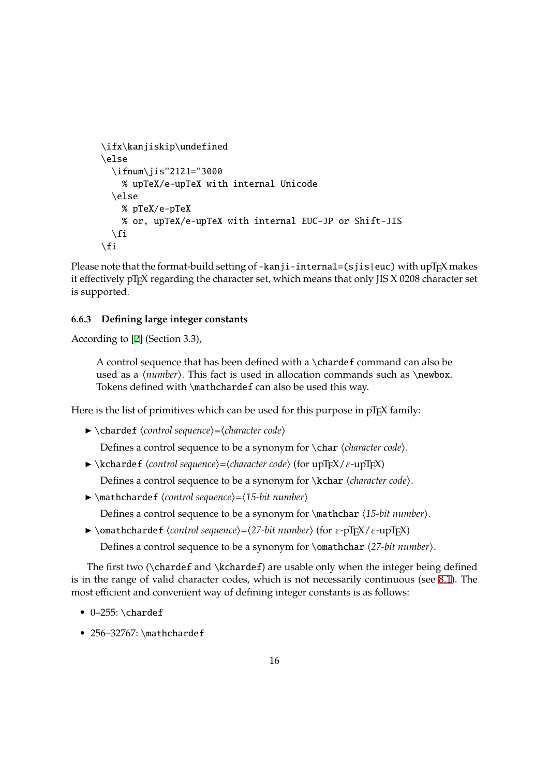```
\ifx\kanjiskip\undefined
\else
  \ifnum\jis"2121="3000
    % upTeX/e-upTeX with internal Unicode
  \else
    % pTeX/e-pTeX
    % or, upTeX/e-upTeX with internal EUC-JP or Shift-JIS
  \setminusfi
\fi
```
Please note that the format-build setting of -kanji-internal=(sjis|euc) with upT<sub>E</sub>X makes it effectively pT<sub>E</sub>X regarding the character set, which means that only JIS X 0208 character set is supported.

#### **6.6.3 Defining large integer constants**

According to [2] (Section 3.3),

A control sequence that has been defined with a \chardef command can also be used as a ⟨*number*⟩. This fact is used in allocation commands such as\newbox. Tokens [de](#page-21-0)fined with \mathchardef can also be used this way.

Here is the list of primitives which can be used for this purpose in pT<sub>E</sub>X family:

▶ \chardef ⟨*control sequence*⟩=⟨*character code*⟩

Defines a control sequence to be a synonym for \char ⟨*character code*⟩.

 $\triangleright$  \kchardef *\control sequence*}=*\character code*} (for upT<sub>E</sub>X/*ε*-upT<sub>E</sub>X)

Defines a control sequence to be a synonym for \kchar ⟨*character code*⟩.

▶ \mathchardef ⟨*control sequence*⟩=⟨*15-bit number*⟩

Defines a control sequence to be a synonym for \mathchar ⟨*15-bit number*⟩.

 $\triangleright$  \omathchardef *\control sequence*}= $\langle$ 27-bit number} (for ε-pT<sub>E</sub>X/ε-upT<sub>E</sub>X)

Defines a control sequence to be a synonym for \omathchar ⟨*27-bit number*⟩.

The first two  $\Lambda$  and  $\k$ chardef) are usable only when the integer being defined is in the range of valid character codes, which is not necessarily continuous (see 8.1). The most efficient and convenient way of defining integer constants is as follows:

- $\bullet$  0-255: \chardef
- 256-32767: \mathchardef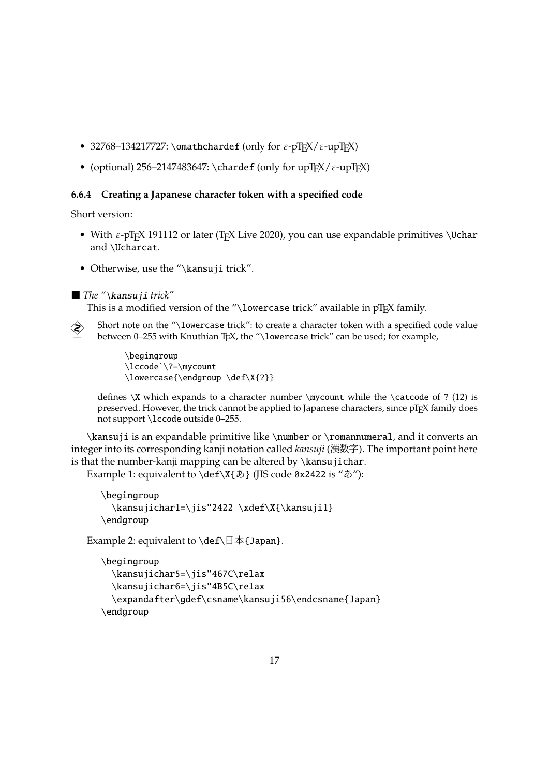- 32768–134217727: \omathchardef (only for  $\varepsilon$ -pTEX/ $\varepsilon$ -upTEX)
- (optional) 256–2147483647: \chardef (only for upT $EX/\varepsilon$ -upT $EX$ )

#### <span id="page-16-0"></span>**6.6.4 Creating a Japanese character token with a specified code**

Short version:

- With  $\varepsilon$ -pT<sub>E</sub>X 191112 or later (T<sub>E</sub>X Live 2020), you can use expandable primitives \Uchar and \Ucharcat.
- Otherwise, use the "\kansuji trick".

```
■ The "\kansuji trick"
```
This is a modified version of the "\lowercase trick" available in  $pTFX$  family.

Short note on the "\lowercase trick": to create a character token with a specified code value between 0-255 with Knuthian TEX, the "\lowercase trick" can be used; for example,

> \begingroup \lccode`\?=\mycount \lowercase{\endgroup \def\X{?}}

defines \X which expands to a character number \mycount while the \catcode of ? (12) is preserved. However, the trick cannot be applied to Japanese characters, since pTFX family does not support \lccode outside 0–255.

\kansuji is an expandable primitive like \number or \romannumeral, and it converts an integer into its corresponding kanji notation called *kansuji* (漢数字). The important point here is that the number-kanji mapping can be altered by \kansujichar.

Example 1: equivalent to  $\def\{\&\}$  (JIS code 0x2422 is " $\check{\Phi}$ "):

```
\begingroup
  \kansujichar1=\jis"2422 \xdef\X{\kansuji1}
\endgroup
```
Example 2: equivalent to  $\def\mathcal{A}$  {Japan}.

```
\begingroup
  \kansujichar5=\jis"467C\relax
  \kansujichar6=\jis"4B5C\relax
  \expandafter\gdef\csname\kansuji56\endcsname{Japan}
\endgroup
```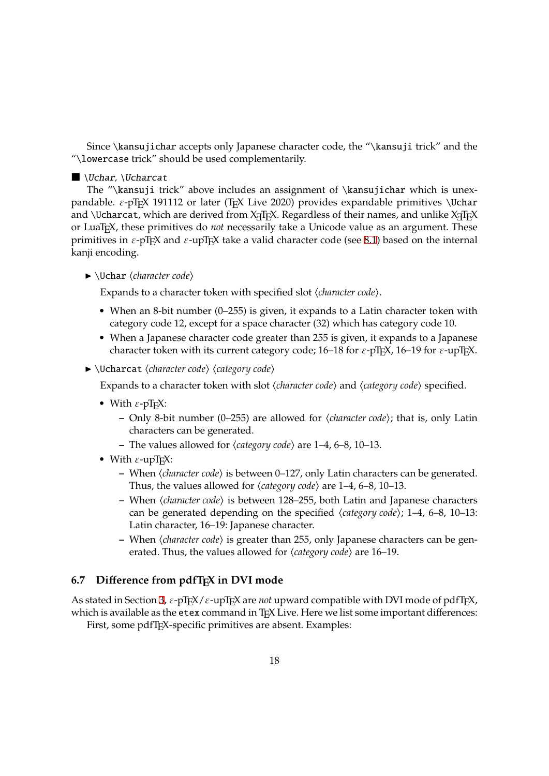<span id="page-17-0"></span>Since \kansujichar accepts only Japanese character code, the "\kansuji trick" and the "\lowercase trick" should be used complementarily.

#### ■ \Uchar*,* \Ucharcat

The "\kansuji trick" above includes an assignment of \kansujichar which is unexpandable.  $\varepsilon$ -pT<sub>E</sub>X 191112 or later (T<sub>E</sub>X Live 2020) provides expandable primitives \Uchar and \Ucharcat, which are derived from  $X_fT_FX$ . Regardless of their names, and unlike  $X_fT_FX$ or LuaTEX, these primitives do *not* necessarily take a Unicode value as an argument. These primitives in  $\epsilon$ -pT<sub>E</sub>X and  $\epsilon$ -upT<sub>E</sub>X take a valid character code (see 8.1) based on the internal kanji encoding.

▶ \Uchar ⟨*character code*⟩

Expands to a character token with specified slot ⟨*character c[ode](#page-19-0)*⟩.

- When an 8-bit number (0–255) is given, it expands to a Latin character token with category code 12, except for a space character (32) which has category code 10.
- When a Japanese character code greater than 255 is given, it expands to a Japanese character token with its current category code;  $16-18$  for  $\varepsilon$ -pT<sub>E</sub>X,  $16-19$  for  $\varepsilon$ -upT<sub>E</sub>X.
- ▶ \Ucharcat ⟨*character code*⟩ ⟨*category code*⟩

Expands to a character token with slot ⟨*character code*⟩ and ⟨*category code*⟩ specified.

- With  $\varepsilon$ -pT<sub>F</sub>X:
	- **–** Only 8-bit number (0–255) are allowed for ⟨*character code*⟩; that is, only Latin characters can be generated.
	- **–** The values allowed for ⟨*category code*⟩ are 1–4, 6–8, 10–13.
- With  $\varepsilon$ -upT<sub>F</sub>X:
	- **–** When ⟨*character code*⟩ is between 0–127, only Latin characters can be generated. Thus, the values allowed for ⟨*category code*⟩ are 1–4, 6–8, 10–13.
	- **–** When ⟨*character code*⟩ is between 128–255, both Latin and Japanese characters can be generated depending on the specified ⟨*category code*⟩; 1–4, 6–8, 10–13: Latin character, 16–19: Japanese character.
	- **–** When ⟨*character code*⟩ is greater than 255, only Japanese characters can be generated. Thus, the values allowed for ⟨*category code*⟩ are 16–19.

#### **6.7 Difference from pdfTEX in DVI mode**

As stated in Section 3,  $\varepsilon$ -pT<sub>E</sub>X/ $\varepsilon$ -upT<sub>E</sub>X are *not* upward compatible with DVI mode of pdfT<sub>E</sub>X, which is available as the  $etex$  command in T<sub>E</sub>X Live. Here we list some important differences:

First, some pdfT<sub>F</sub>X-specific primitives are absent. Examples: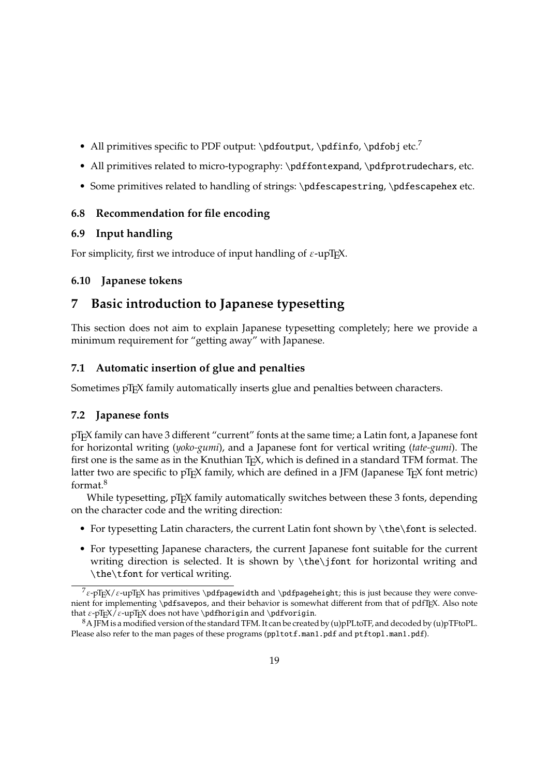- All primitives specific to PDF output:  $\pdfoutput$ ,  $pdfinfo$ ,  $pdfobj etc.<sup>7</sup>$
- All primitives related to micro-typography: \pdffontexpand, \pdfprotrudechars, etc.
- Some primitives related to handling of strings: \pdfescapestring, \pdfescapehex etc.

#### <span id="page-18-0"></span>**6.8 Recommendation for file encoding**

#### <span id="page-18-1"></span>**6.9 Input handling**

For simplicity, first we introduce of input handling of  $\varepsilon$ -upT<sub>E</sub>X.

### <span id="page-18-2"></span>**6.10 Japanese tokens**

### <span id="page-18-3"></span>**7 Basic introduction to Japanese typesetting**

This section does not aim to explain Japanese typesetting completely; here we provide a minimum requirement for "getting away" with Japanese.

#### <span id="page-18-4"></span>**7.1 Automatic insertion of glue and penalties**

Sometimes pT<sub>F</sub>X family automatically inserts glue and penalties between characters.

### <span id="page-18-5"></span>**7.2 Japanese fonts**

pTEX family can have 3 different "current" fonts at the same time; a Latin font, a Japanese font for horizontal writing (*yoko-gumi*), and a Japanese font for vertical writing (*tate-gumi*). The first one is the same as in the Knuthian T<sub>F</sub>X, which is defined in a standard TFM format. The latter two are specific to pT<sub>E</sub>X family, which are defined in a JFM (Japanese T<sub>E</sub>X font metric) format.<sup>8</sup>

While typesetting, pT<sub>E</sub>X family automatically switches between these 3 fonts, depending on the character code and the writing direction:

- For typesetting Latin characters, the current Latin font shown by \the\font is selected.
- For typesetting Japanese characters, the current Japanese font suitable for the current writing direction is selected. It is shown by \the\jfont for horizontal writing and \the\tfont for vertical writing.

 $7\varepsilon$ -pT<sub>E</sub>X/ $\varepsilon$ -upT<sub>E</sub>X has primitives \pdfpagewidth and \pdfpageheight; this is just because they were convenient for implementing \pdfsavepos, and their behavior is somewhat different from that of pdfTEX. Also note that  $\varepsilon$ -pTEX/ $\varepsilon$ -upTEX does not have \pdfhorigin and \pdfvorigin.

<sup>8</sup>A JFM is a modified version of the standard TFM. It can be created by (u)pPLtoTF, and decoded by (u)pTFtoPL. Please also refer to the man pages of these programs (ppltotf.man1.pdf and ptftopl.man1.pdf).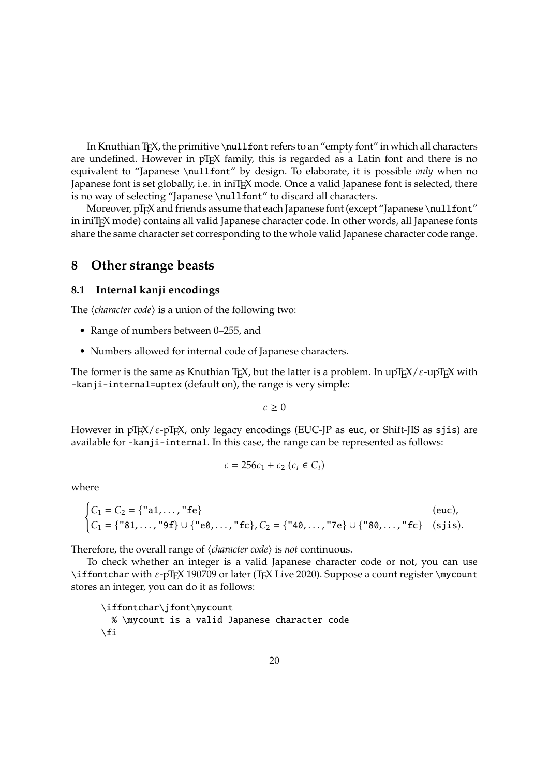In Knuthian T<sub>E</sub>X, the primitive \nullfont refers to an "empty font" in which all characters are undefined. However in pT<sub>E</sub>X family, this is regarded as a Latin font and there is no equivalent to "Japanese \nullfont" by design. To elaborate, it is possible *only* when no Japanese font is set globally, i.e. in iniT<sub>E</sub>X mode. Once a valid Japanese font is selected, there is no way of selecting "Japanese \nullfont" to discard all characters.

Moreover, pT<sub>F</sub>X and friends assume that each Japanese font (except "Japanese \nullfont" in iniTEX mode) contains all valid Japanese character code. In other words, all Japanese fonts share the same character set corresponding to the whole valid Japanese character code range.

### **8 Other strange beasts**

#### <span id="page-19-0"></span>**8.1 Internal kanji encodings**

The  $\langle$ *<i>character code* $\rangle$  is a union of the following two:

- Range of numbers between 0–255, and
- Numbers allowed for internal code of Japanese characters.

The former is the same as Knuthian T<sub>E</sub>X, but the latter is a problem. In upT<sub>E</sub>X/ $\varepsilon$ -upT<sub>E</sub>X with -kanji-internal=uptex (default on), the range is very simple:

 $c \geq 0$ 

However in pT<sub>E</sub>X/ $\varepsilon$ -pT<sub>E</sub>X, only legacy encodings (EUC-JP as euc, or Shift-JIS as sjis) are available for -kanji-internal. In this case, the range can be represented as follows:

$$
c = 256c_1 + c_2 (c_i \in C_i)
$$

where

$$
\begin{cases} C_1 = C_2 = \{ "a1, ..., "fe] \} & (\text{euc}), \\ C_1 = \{ "81, ..., "9f] \cup \{ "e0, ..., "fc\}, C_2 = \{ "40, ..., "7e\} \cup \{ "80, ..., "fc\} & (\text{sjis}). \end{cases}
$$

Therefore, the overall range of ⟨*character code*⟩ is *not* continuous.

To check whether an integer is a valid Japanese character code or not, you can use \iffontchar with ε-pTEX 190709 or later (TEX Live 2020). Suppose a count register \mycount stores an integer, you can do it as follows:

\iffontchar\jfont\mycount % \mycount is a valid Japanese character code  $\chi$ fi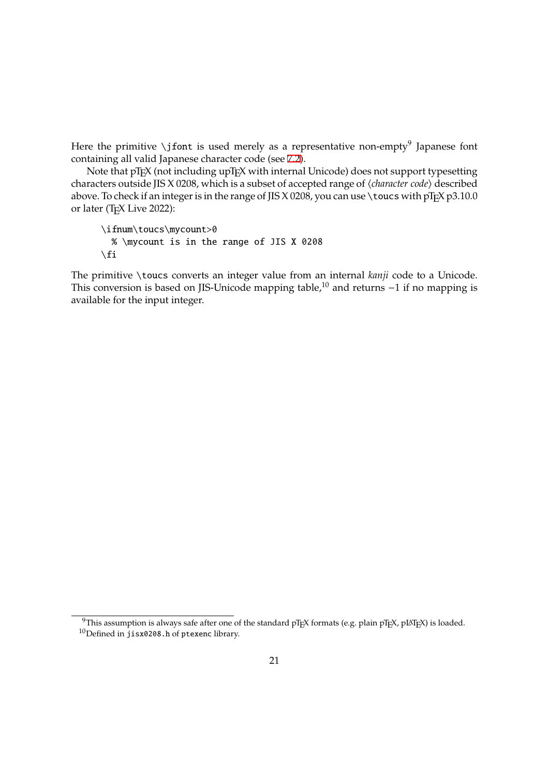Here the primitive \jfont is used merely as a representative non-empty<sup>9</sup> Japanese font containing all valid Japanese character code (see 7.2).

Note that pT<sub>E</sub>X (not including upT<sub>E</sub>X with internal Unicode) does not support typesetting characters outside JIS X 0208, which is a subset of accepted range of ⟨*character code*⟩ described above. To check if an integer is in the range of JIS [X 02](#page-18-5)08, you can use \toucs with  $pTpX p3.10.0$ or later (TEX Live 2022):

\ifnum\toucs\mycount>0 % \mycount is in the range of JIS X 0208  $\setminus$ fi

The primitive \toucs converts an integer value from an internal *kanji* code to a Unicode. This conversion is based on JIS-Unicode mapping table,<sup>10</sup> and returns −1 if no mapping is available for the input integer.

<sup>&</sup>lt;sup>9</sup>This assumption is always safe after one of the standard pTEX formats (e.g. plain pTEX, pLATEX) is loaded. <sup>10</sup>Defined in jisx0208.h of ptexenc library.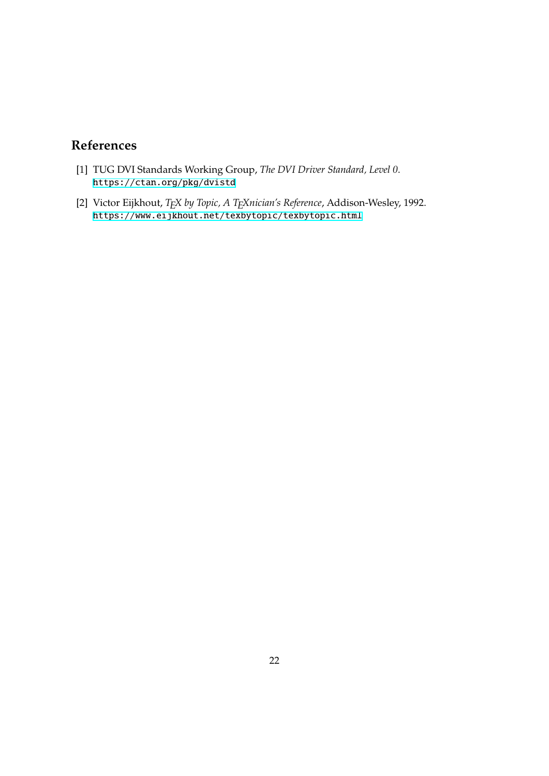## **References**

- [1] TUG DVI Standards Working Group, *The DVI Driver Standard, Level 0*. https://ctan.org/pkg/dvistd
- <span id="page-21-0"></span>[2] Victor Eijkhout, *TEX by Topic, A TEXnician's Reference*, Addison-Wesley, 1992. https://www.eijkhout.net/texbytopic/texbytopic.html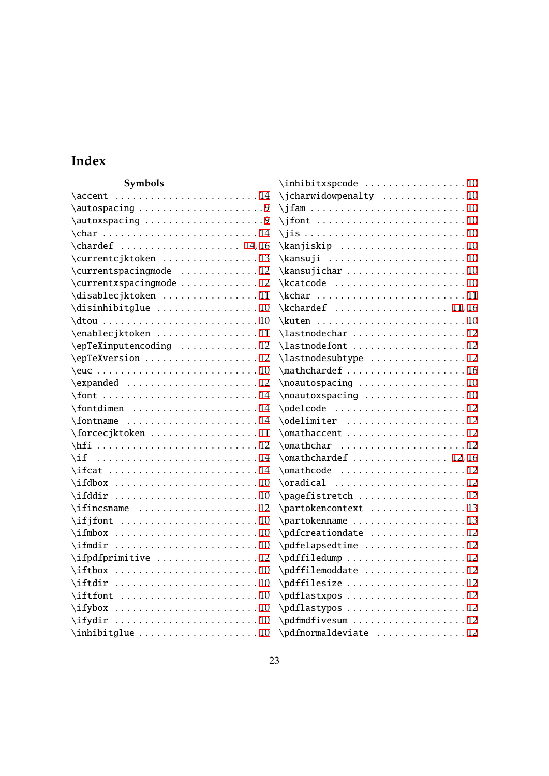### **Index**

| Symbols                                                                                                     | \inhibitxspcode 10            |
|-------------------------------------------------------------------------------------------------------------|-------------------------------|
| \accent                                                                                                     |                               |
|                                                                                                             |                               |
| $\autox spacing \ldots \ldots \ldots \ldots \ldots \ldots \ldots \ldots \ldots \ldots \ldots \ldots \ldots$ |                               |
| char                                                                                                        |                               |
| $\lambda$ chardef  14, 16                                                                                   |                               |
| \currentcjktoken 13                                                                                         |                               |
| \currentspacingmode 12                                                                                      |                               |
| \currentxspacingmode  12                                                                                    |                               |
| \disablecjktoken 11                                                                                         | $\kchar \ldots \ldots \ldots$ |
| $\distinhibitglue     10$                                                                                   | \kchardef  11, 16             |
| $\ldots \ldots \ldots$                                                                                      |                               |
| \enablecjktoken 11                                                                                          | \lastnodechar 12              |
| \epTeXinputencoding  12                                                                                     | \lastnodefont  12             |
| \epTeXversion 12                                                                                            | \lastnodesubtype  12          |
|                                                                                                             |                               |
| \expanded 12                                                                                                | \noautospacing 10             |
|                                                                                                             | \noautoxspacing 10            |
| $\forall$ fontdimen 14                                                                                      |                               |
| $\forall$ fontname 14                                                                                       | \odelimiter 12                |
| \forcecjktoken 11                                                                                           | \omathaccent  12              |
|                                                                                                             | \omathchar 12                 |
|                                                                                                             | $\mathrm{h}$ chardef  12,16   |
| $\iint cat$ 14                                                                                              | \omathcode 12                 |
|                                                                                                             | \oradical 12                  |
|                                                                                                             | \pagefistretch 12             |
| $\iintincsname$ 12                                                                                          | \partokencontext 13           |
|                                                                                                             | \partokenname 13              |
| $\iint \text{mbox} \dots \dots \dots \dots \dots \dots \dots 10$                                            | \pdfcreationdate 12           |
|                                                                                                             | \pdfelapsedtime 12            |
| \ifpdfprimitive 12                                                                                          | \pdffiledump 12               |
| $\i{ftbox  \dots  \dots  10$                                                                                | \pdffilemoddate 12            |
| $\iint \ldots \ldots \ldots \ldots \ldots 10$                                                               | \pdffilesize 12               |
| $\ifftfont  \dots  \dots  \dots 10$                                                                         | \pdflastxpos 12               |
|                                                                                                             | \pdflastypos 12               |
|                                                                                                             | \pdfmdfivesum 12              |
|                                                                                                             | \pdfnormaldeviate  12         |

|    | vΓ            |
|----|---------------|
| 0  | $\setminus$ r |
| LO | $\setminus$ r |
|    |               |
|    |               |